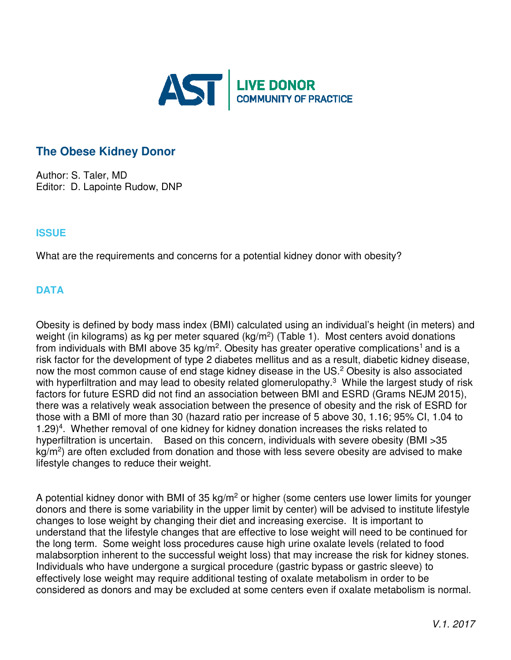

# **The Obese Kidney Donor**

Author: S. Taler, MD Editor: D. Lapointe Rudow, DNP

## **ISSUE**

What are the requirements and concerns for a potential kidney donor with obesity?

## **DATA**

Obesity is defined by body mass index (BMI) calculated using an individual's height (in meters) and weight (in kilograms) as kg per meter squared (kg/m<sup>2</sup>) (Table 1). Most centers avoid donations from individuals with BMI above 35 kg/m<sup>2</sup>. Obesity has greater operative complications<sup>1</sup> and is a risk factor for the development of type 2 diabetes mellitus and as a result, diabetic kidney disease, now the most common cause of end stage kidney disease in the US.<sup>2</sup> Obesity is also associated with hyperfiltration and may lead to obesity related glomerulopathy.<sup>3</sup> While the largest study of risk factors for future ESRD did not find an association between BMI and ESRD (Grams NEJM 2015), there was a relatively weak association between the presence of obesity and the risk of ESRD for those with a BMI of more than 30 (hazard ratio per increase of 5 above 30, 1.16; 95% CI, 1.04 to 1.29)<sup>4</sup>. Whether removal of one kidney for kidney donation increases the risks related to hyperfiltration is uncertain. Based on this concern, individuals with severe obesity (BMI > 35 kg/m<sup>2</sup>) are often excluded from donation and those with less severe obesity are advised to make lifestyle changes to reduce their weight.

A potential kidney donor with BMI of 35 kg/m<sup>2</sup> or higher (some centers use lower limits for younger donors and there is some variability in the upper limit by center) will be advised to institute lifestyle changes to lose weight by changing their diet and increasing exercise. It is important to understand that the lifestyle changes that are effective to lose weight will need to be continued for the long term. Some weight loss procedures cause high urine oxalate levels (related to food malabsorption inherent to the successful weight loss) that may increase the risk for kidney stones. Individuals who have undergone a surgical procedure (gastric bypass or gastric sleeve) to effectively lose weight may require additional testing of oxalate metabolism in order to be considered as donors and may be excluded at some centers even if oxalate metabolism is normal.